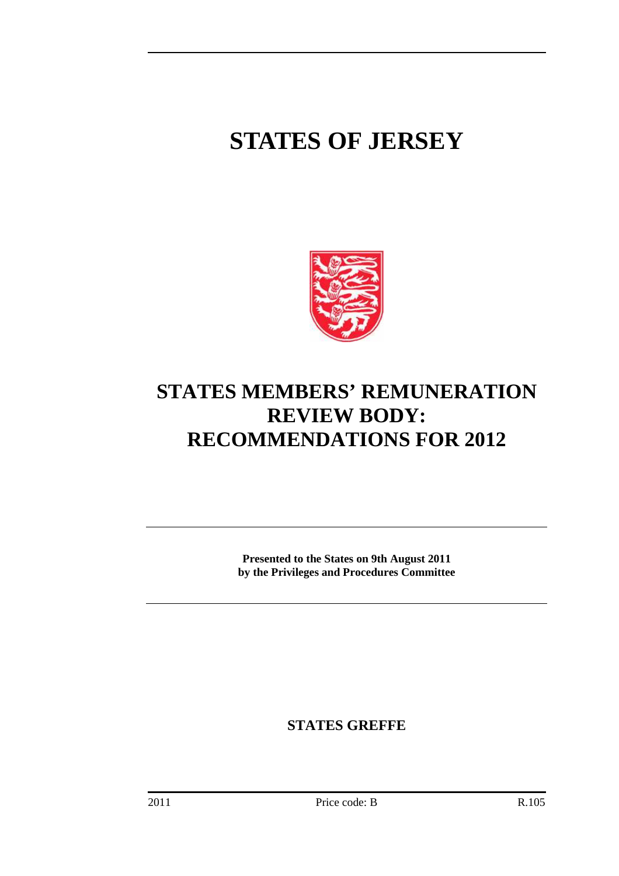# **STATES OF JERSEY**



# **STATES MEMBERS' REMUNERATION REVIEW BODY: RECOMMENDATIONS FOR 2012**

**Presented to the States on 9th August 2011 by the Privileges and Procedures Committee** 

**STATES GREFFE**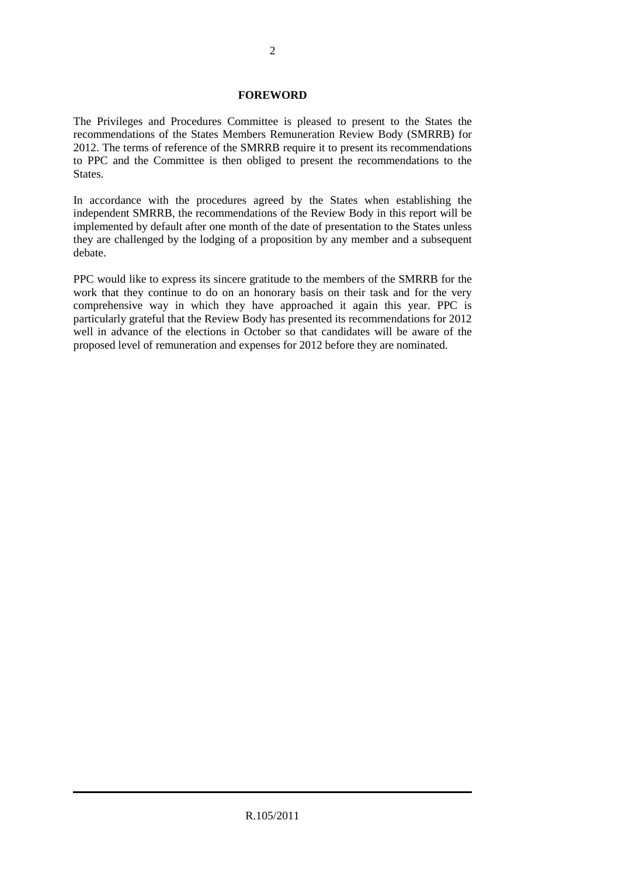#### **FOREWORD**

The Privileges and Procedures Committee is pleased to present to the States the recommendations of the States Members Remuneration Review Body (SMRRB) for 2012. The terms of reference of the SMRRB require it to present its recommendations to PPC and the Committee is then obliged to present the recommendations to the States.

In accordance with the procedures agreed by the States when establishing the independent SMRRB, the recommendations of the Review Body in this report will be implemented by default after one month of the date of presentation to the States unless they are challenged by the lodging of a proposition by any member and a subsequent debate.

PPC would like to express its sincere gratitude to the members of the SMRRB for the work that they continue to do on an honorary basis on their task and for the very comprehensive way in which they have approached it again this year. PPC is particularly grateful that the Review Body has presented its recommendations for 2012 well in advance of the elections in October so that candidates will be aware of the proposed level of remuneration and expenses for 2012 before they are nominated.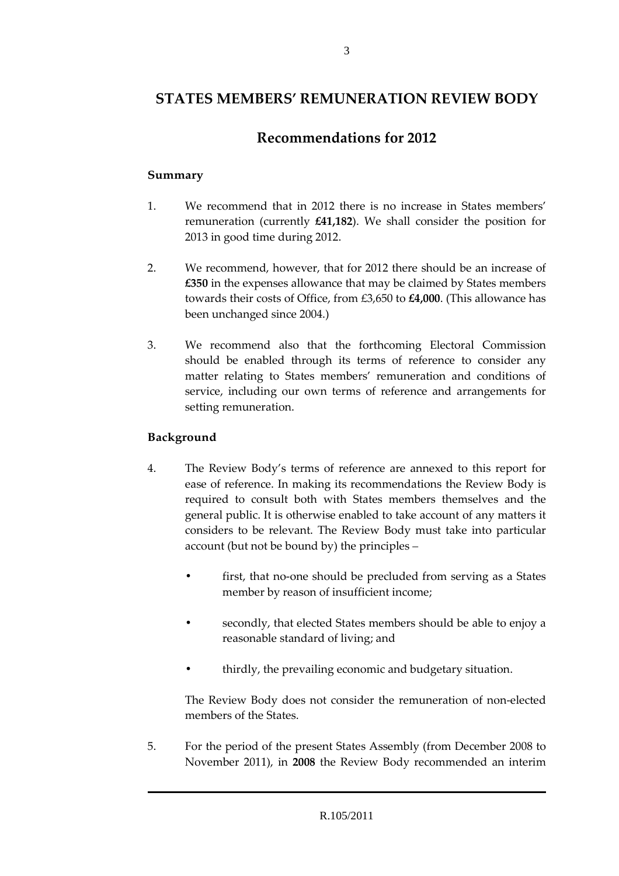# **STATES MEMBERS' REMUNERATION REVIEW BODY**

# **Recommendations for 2012**

#### **Summary**

- 1. We recommend that in 2012 there is no increase in States members' remuneration (currently **£41,182**). We shall consider the position for 2013 in good time during 2012.
- 2. We recommend, however, that for 2012 there should be an increase of **£350** in the expenses allowance that may be claimed by States members towards their costs of Office, from £3,650 to **£4,000**. (This allowance has been unchanged since 2004.)
- 3. We recommend also that the forthcoming Electoral Commission should be enabled through its terms of reference to consider any matter relating to States members' remuneration and conditions of service, including our own terms of reference and arrangements for setting remuneration.

#### **Background**

- 4. The Review Body's terms of reference are annexed to this report for ease of reference. In making its recommendations the Review Body is required to consult both with States members themselves and the general public. It is otherwise enabled to take account of any matters it considers to be relevant. The Review Body must take into particular account (but not be bound by) the principles –
	- first, that no-one should be precluded from serving as a States member by reason of insufficient income;
	- secondly, that elected States members should be able to enjoy a reasonable standard of living; and
	- thirdly, the prevailing economic and budgetary situation.

 The Review Body does not consider the remuneration of non-elected members of the States.

5. For the period of the present States Assembly (from December 2008 to November 2011), in **2008** the Review Body recommended an interim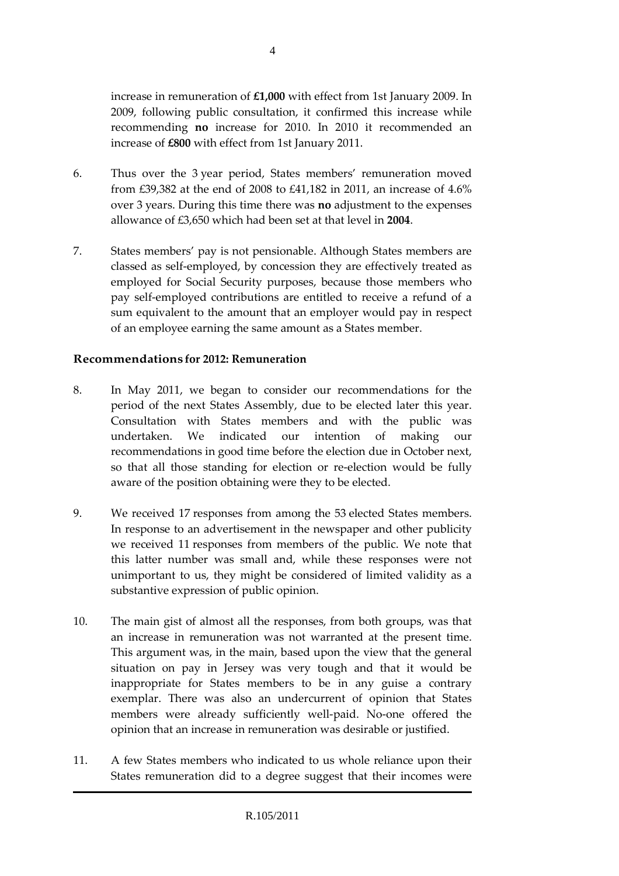increase in remuneration of **£1,000** with effect from 1st January 2009. In 2009, following public consultation, it confirmed this increase while recommending **no** increase for 2010. In 2010 it recommended an increase of **£800** with effect from 1st January 2011.

- 6. Thus over the 3 year period, States members' remuneration moved from £39,382 at the end of 2008 to £41,182 in 2011, an increase of 4.6% over 3 years. During this time there was **no** adjustment to the expenses allowance of £3,650 which had been set at that level in **2004**.
- 7. States members' pay is not pensionable. Although States members are classed as self-employed, by concession they are effectively treated as employed for Social Security purposes, because those members who pay self-employed contributions are entitled to receive a refund of a sum equivalent to the amount that an employer would pay in respect of an employee earning the same amount as a States member.

#### **Recommendations for 2012: Remuneration**

- 8. In May 2011, we began to consider our recommendations for the period of the next States Assembly, due to be elected later this year. Consultation with States members and with the public was undertaken. We indicated our intention of making our recommendations in good time before the election due in October next, so that all those standing for election or re-election would be fully aware of the position obtaining were they to be elected.
- 9. We received 17 responses from among the 53 elected States members. In response to an advertisement in the newspaper and other publicity we received 11 responses from members of the public. We note that this latter number was small and, while these responses were not unimportant to us, they might be considered of limited validity as a substantive expression of public opinion.
- 10. The main gist of almost all the responses, from both groups, was that an increase in remuneration was not warranted at the present time. This argument was, in the main, based upon the view that the general situation on pay in Jersey was very tough and that it would be inappropriate for States members to be in any guise a contrary exemplar. There was also an undercurrent of opinion that States members were already sufficiently well-paid. No-one offered the opinion that an increase in remuneration was desirable or justified.
- 11. A few States members who indicated to us whole reliance upon their States remuneration did to a degree suggest that their incomes were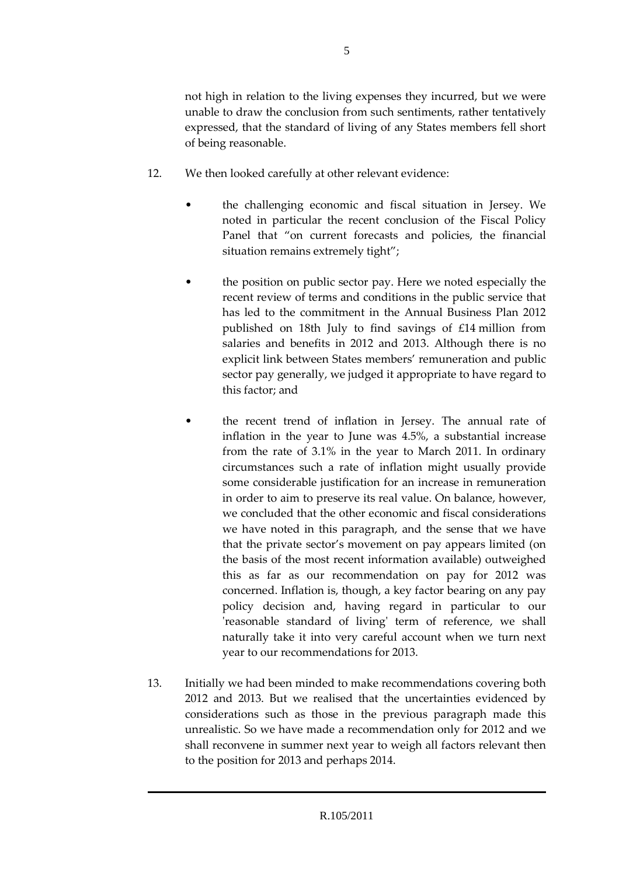not high in relation to the living expenses they incurred, but we were unable to draw the conclusion from such sentiments, rather tentatively expressed, that the standard of living of any States members fell short of being reasonable.

- 12. We then looked carefully at other relevant evidence:
	- the challenging economic and fiscal situation in Jersey. We noted in particular the recent conclusion of the Fiscal Policy Panel that "on current forecasts and policies, the financial situation remains extremely tight";
	- the position on public sector pay. Here we noted especially the recent review of terms and conditions in the public service that has led to the commitment in the Annual Business Plan 2012 published on 18th July to find savings of £14 million from salaries and benefits in 2012 and 2013. Although there is no explicit link between States members' remuneration and public sector pay generally, we judged it appropriate to have regard to this factor; and
	- the recent trend of inflation in Jersey. The annual rate of inflation in the year to June was 4.5%, a substantial increase from the rate of 3.1% in the year to March 2011. In ordinary circumstances such a rate of inflation might usually provide some considerable justification for an increase in remuneration in order to aim to preserve its real value. On balance, however, we concluded that the other economic and fiscal considerations we have noted in this paragraph, and the sense that we have that the private sector's movement on pay appears limited (on the basis of the most recent information available) outweighed this as far as our recommendation on pay for 2012 was concerned. Inflation is, though, a key factor bearing on any pay policy decision and, having regard in particular to our 'reasonable standard of living' term of reference, we shall naturally take it into very careful account when we turn next year to our recommendations for 2013.
- 13. Initially we had been minded to make recommendations covering both 2012 and 2013. But we realised that the uncertainties evidenced by considerations such as those in the previous paragraph made this unrealistic. So we have made a recommendation only for 2012 and we shall reconvene in summer next year to weigh all factors relevant then to the position for 2013 and perhaps 2014.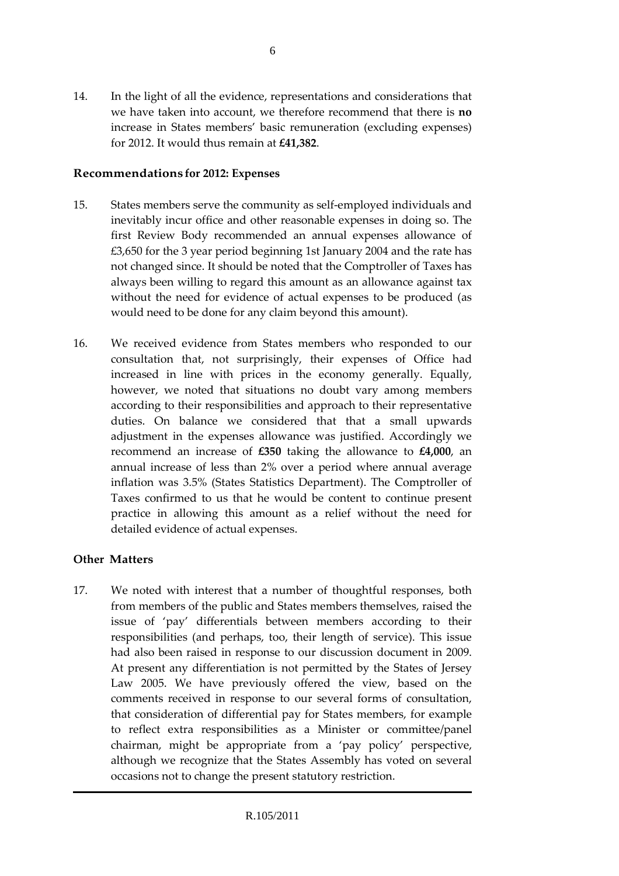14. In the light of all the evidence, representations and considerations that we have taken into account, we therefore recommend that there is **no** increase in States members' basic remuneration (excluding expenses) for 2012. It would thus remain at **£41,382**.

#### **Recommendations for 2012: Expenses**

- 15. States members serve the community as self-employed individuals and inevitably incur office and other reasonable expenses in doing so. The first Review Body recommended an annual expenses allowance of £3,650 for the 3 year period beginning 1st January 2004 and the rate has not changed since. It should be noted that the Comptroller of Taxes has always been willing to regard this amount as an allowance against tax without the need for evidence of actual expenses to be produced (as would need to be done for any claim beyond this amount).
- 16. We received evidence from States members who responded to our consultation that, not surprisingly, their expenses of Office had increased in line with prices in the economy generally. Equally, however, we noted that situations no doubt vary among members according to their responsibilities and approach to their representative duties. On balance we considered that that a small upwards adjustment in the expenses allowance was justified. Accordingly we recommend an increase of **£350** taking the allowance to **£4,000**, an annual increase of less than 2% over a period where annual average inflation was 3.5% (States Statistics Department). The Comptroller of Taxes confirmed to us that he would be content to continue present practice in allowing this amount as a relief without the need for detailed evidence of actual expenses.

#### **Other Matters**

17. We noted with interest that a number of thoughtful responses, both from members of the public and States members themselves, raised the issue of 'pay' differentials between members according to their responsibilities (and perhaps, too, their length of service). This issue had also been raised in response to our discussion document in 2009. At present any differentiation is not permitted by the States of Jersey Law 2005. We have previously offered the view, based on the comments received in response to our several forms of consultation, that consideration of differential pay for States members, for example to reflect extra responsibilities as a Minister or committee/panel chairman, might be appropriate from a 'pay policy' perspective, although we recognize that the States Assembly has voted on several occasions not to change the present statutory restriction.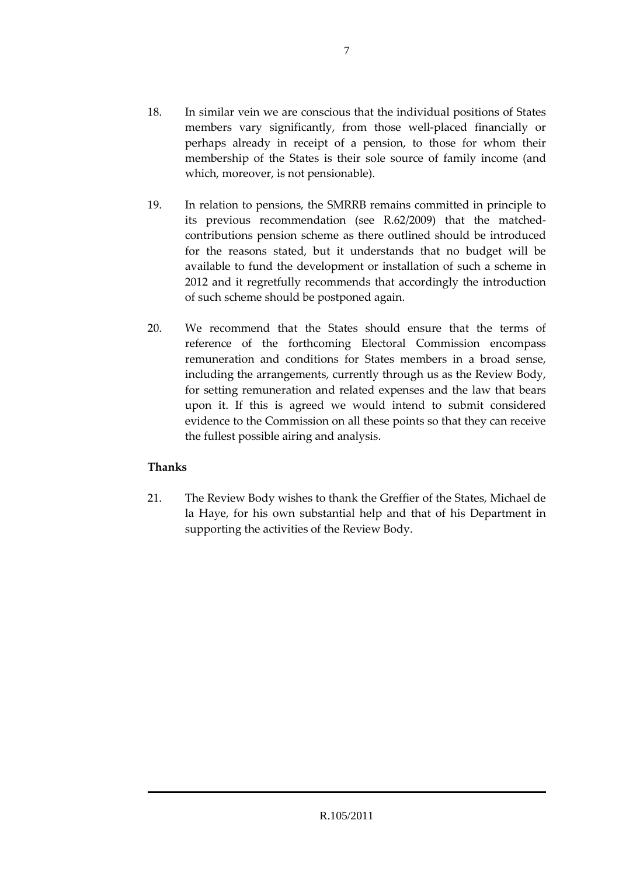- 18. In similar vein we are conscious that the individual positions of States members vary significantly, from those well-placed financially or perhaps already in receipt of a pension, to those for whom their membership of the States is their sole source of family income (and which, moreover, is not pensionable).
- 19. In relation to pensions, the SMRRB remains committed in principle to its previous recommendation (see R.62/2009) that the matchedcontributions pension scheme as there outlined should be introduced for the reasons stated, but it understands that no budget will be available to fund the development or installation of such a scheme in 2012 and it regretfully recommends that accordingly the introduction of such scheme should be postponed again.
- 20. We recommend that the States should ensure that the terms of reference of the forthcoming Electoral Commission encompass remuneration and conditions for States members in a broad sense, including the arrangements, currently through us as the Review Body, for setting remuneration and related expenses and the law that bears upon it. If this is agreed we would intend to submit considered evidence to the Commission on all these points so that they can receive the fullest possible airing and analysis.

### **Thanks**

21. The Review Body wishes to thank the Greffier of the States, Michael de la Haye, for his own substantial help and that of his Department in supporting the activities of the Review Body.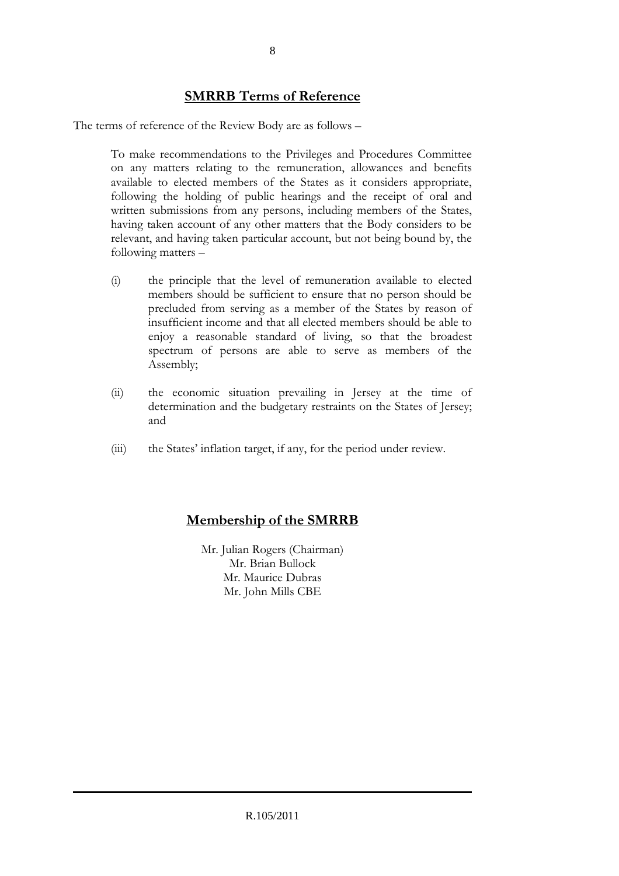## **SMRRB Terms of Reference**

The terms of reference of the Review Body are as follows –

To make recommendations to the Privileges and Procedures Committee on any matters relating to the remuneration, allowances and benefits available to elected members of the States as it considers appropriate, following the holding of public hearings and the receipt of oral and written submissions from any persons, including members of the States, having taken account of any other matters that the Body considers to be relevant, and having taken particular account, but not being bound by, the following matters –

- (i) the principle that the level of remuneration available to elected members should be sufficient to ensure that no person should be precluded from serving as a member of the States by reason of insufficient income and that all elected members should be able to enjoy a reasonable standard of living, so that the broadest spectrum of persons are able to serve as members of the Assembly;
- (ii) the economic situation prevailing in Jersey at the time of determination and the budgetary restraints on the States of Jersey; and
- (iii) the States' inflation target, if any, for the period under review.

# **Membership of the SMRRB**

Mr. Julian Rogers (Chairman) Mr. Brian Bullock Mr. Maurice Dubras Mr. John Mills CBE